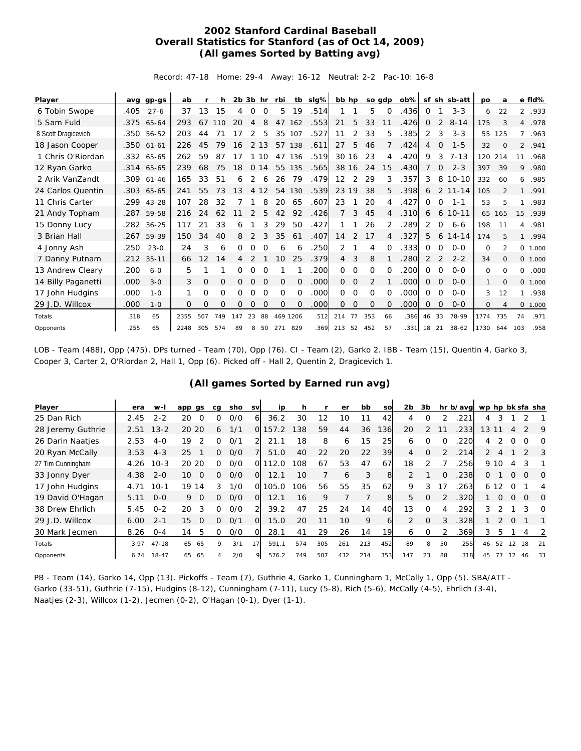## **2002 Stanford Cardinal Baseball Overall Statistics for Stanford (as of Oct 14, 2009) (All games Sorted by Batting avg)**

Record: 47-18 Home: 29-4 Away: 16-12 Neutral: 2-2 Pac-10: 16-8

| Player              |      | avg gp-gs  | ab   |     | h        | $2b$ $3b$ hr |                |          | rbi          |          | tb slg% | bb hp           |             |              | so gdp   | ob%l      |          |             | sf sh sb-att | pо   | a              |                | e fid%  |
|---------------------|------|------------|------|-----|----------|--------------|----------------|----------|--------------|----------|---------|-----------------|-------------|--------------|----------|-----------|----------|-------------|--------------|------|----------------|----------------|---------|
| 6 Tobin Swope       | .405 | $27 - 6$   | 37   | 13  | 15       | 4            | $\Omega$       | $\Omega$ | 5            | 19       | .514    |                 |             | 5            | $\Omega$ | .436      | 0        |             | $3 - 3$      | 6    | 22             | $\overline{2}$ | .933    |
| 5 Sam Fuld          |      | .375 65-64 | 293  | 67  | 110      | 20           | 4              | 8        | 47           | 162      | .553    | 21              | 5           | 33           | 11       | .426      | $\Omega$ | 2           | $8 - 14$     | 175  | 3              | $\overline{4}$ | .978    |
| 8 Scott Dragicevich |      | .350 56-52 | 203  | 44  | 71       | 17           | 2              | 5        | 35           | 107      | .527    | 11              | 2           | 33           | 5        | .385      | 2        | 3           | $3 - 3$      | 55   | 125            | $\overline{7}$ | .963    |
| 18 Jason Cooper     | .350 | $61 - 61$  | 226  | 45  | 79       | 16           | 2              | 13       | 57           | 138      | .611    | 27              | 5           | 46           |          | .424      | 4        | 0           | $1 - 5$      | 32   | $\Omega$       | $\overline{2}$ | .941    |
| 1 Chris O'Riordan   |      | .332 65-65 | 262  | 59  | 87       | 17           |                | 10       | 47           | 136      | .519    |                 | 30 16       | 23           | 4        | .420      | 9        | 3           | $7 - 13$     | 120  | 214            | 11             | .968    |
| 12 Ryan Garko       |      | .314 65-65 | 239  | 68  | 75       | 18           | $\overline{O}$ | 14       | 55           | 135      | .565    | 38 16           |             | 24           | 15       | .430      | 7        | 0           | $2 - 3$      | 397  | 39             | 9              | .980    |
| 2 Arik VanZandt     |      | .309 61-46 | 165  | 33  | 51       | 6            | 2              | 6        | 26           | 79       | .479    | 12 <sup>2</sup> | 2           | 29           | 3        | .357      | 3        | 8           | $10 - 10$    | 332  | 60             | 6              | .985    |
| 24 Carlos Quentin   |      | .303 65-65 | 241  | 55  | 73       | 13           | 4              | 12       | 54           | 130      | .539    | 23              | 19          | 38           | 5        | .398      | 6        | 2           | $11 - 14$    | 105  |                | $\mathbf{1}$   | .991    |
| 11 Chris Carter     | .299 | 43-28      | 107  | 28  | 32       |              |                | 8        | 20           | 65       | .607    | 23              |             | 20           | 4        | .427      | $\Omega$ | $\Omega$    | $1 - 1$      | 53   | 5              | 1              | .983    |
| 21 Andy Topham      | .287 | 59-58      | 216  | 24  | 62       | 11           | 2              | 5        | 42           | 92       | .426    | $\overline{7}$  | 3           | 45           | 4        | .310      | 6        | 6           | $10 - 11$    | 65   | 165            | 15             | .939    |
| 15 Donny Lucy       |      | .282 36-25 | 117  | 21  | 33       | 6            |                | 3        | 29           | 50       | .427    |                 |             | 26           | 2        | .289      | 2        | $\mathbf 0$ | $6 - 6$      | 198  | 11             | 4              | .981    |
| 3 Brian Hall        | .267 | 59-39      | 150  | 34  | 40       | 8            | 2              | 3        | 35           | 61       | .407    | 14              | 2           | 17           | 4        | .327      | 5        | 6           | $14 - 14$    | 174  | 5              | $\mathbf{1}$   | .994    |
| 4 Jonny Ash         | .250 | $23 - 0$   | 24   | 3   | 6        | 0            | 0              | 0        | 6            | 6        | 250     | 2               |             | 4            | 0        | 333       | 0        | 0           | $O - O$      | 0    | $\overline{2}$ |                | 0 1.000 |
| 7 Danny Putnam      | .212 | $35 - 11$  | 66   | 12  | 14       | 4            | 2              |          | 10           | 25       | .379    | $\overline{4}$  | 3           | 8            |          | .280      | 2        | 2           | $2 - 2$      | 34   | $\Omega$       |                | 0 1.000 |
| 13 Andrew Cleary    | .200 | $6 - 0$    | 5    |     |          | 0            | $\Omega$       | $\Omega$ |              |          | .200    | 0               | $\Omega$    | $\Omega$     | 0        | 200       | $\Omega$ | $\Omega$    | $0 - 0$      | 0    | $\Omega$       | 0              | .000    |
| 14 Billy Paganetti  | .000 | $3 - 0$    | 3    | O   | 0        | $\Omega$     | $\Omega$       | $\Omega$ | 0            | $\Omega$ | .000    | 0               | $\mathbf 0$ | 2            |          | .000      | 0        | O           | $O - O$      | 1    | $\Omega$       |                | 0 1.000 |
| 17 John Hudgins     | .000 | $1 - 0$    |      | 0   | 0        | 0            | 0              | $\Omega$ | 0            | $\Omega$ | .000    | 0               | $\Omega$    | $\Omega$     | 0        | .000      | 0        | $\Omega$    | $O - O$      | 3    | 12             | $\mathbf{1}$   | .938    |
| 29 J.D. Willcox     | .000 | $1 - 0$    | 0    | O   | $\Omega$ | 0            | 0              | $\Omega$ | $\mathbf{O}$ | $\Omega$ | .000    | 0               | $\mathbf 0$ | $\mathbf{O}$ | $\Omega$ | .000      | 0        | $\Omega$    | $0 - 0$      | 0    | 4              | $\circ$        | 1.000   |
| Totals              | .318 | 65         | 2355 | 507 | 749      | 147          | 23             | 88       |              | 469 1206 | .512    | 214             | 77          | 353          | 66       | .386      | 46       | 33          | 78-99        | 1774 | 735            | 74             | .971    |
| Opponents           | .255 | 65         | 2248 | 305 | 574      | 89           | 8              | 50       | 271          | 829      | .369    | 213 52          |             | 452          | 57       | $.331$ 18 |          | 21          | $38-62$      | 1730 | 644            | 103            | .958    |

LOB - Team (488), Opp (475). DPs turned - Team (70), Opp (76). CI - Team (2), Garko 2. IBB - Team (15), Quentin 4, Garko 3, Cooper 3, Carter 2, O'Riordan 2, Hall 1, Opp (6). Picked off - Hall 2, Quentin 2, Dragicevich 1.

|  |  |  |  | (All games Sorted by Earned run avg) |  |  |  |
|--|--|--|--|--------------------------------------|--|--|--|
|--|--|--|--|--------------------------------------|--|--|--|

| Player            | era  | w-l       | app gs         | ca | sho | sv | ip    | h   |     | er  | bb  | sol | 2b            | 3b       |    | hr b/avg wp hp bk sfa sha |               |      |          |               |          |
|-------------------|------|-----------|----------------|----|-----|----|-------|-----|-----|-----|-----|-----|---------------|----------|----|---------------------------|---------------|------|----------|---------------|----------|
| 25 Dan Rich       | 2.45 | $2 - 2$   | 20<br>$\Omega$ | O  | O/O | 6  | 36.2  | 30  | 12  | 10  | 11  | 42  | 4             |          |    | 221                       | 4             | 3    |          |               |          |
| 28 Jeremy Guthrie | 2.51 | $13 - 2$  | 20<br>20       | 6  | 1/1 | 0l | 157.2 | 138 | 59  | 44  | 36  | 136 | 20            | 2        |    | .233                      | 13            |      | 4        |               | 9        |
| 26 Darin Naatjes  | 2.53 | $4 - 0$   | 19<br>っ        | 0  | O/1 | 2  | 21.1  | 18  | 8   | 6   | 15  | 25  | 6             | O        |    | 220                       | 4             |      |          |               | $\Omega$ |
| 20 Ryan McCally   | 3.53 | $4 - 3$   | 25             | O. | O/O |    | 51.0  | 40  | 22  | 20  | 22  | 39  | 4             | $\Omega$ |    | .214                      | $\mathcal{P}$ | 4    |          | $\mathcal{P}$ | 3        |
| 27 Tim Cunningham | 4.26 | $10-3$    | 20 20          | O. | 0/0 | O  | 12.0  | 108 | 67  | 53  | 47  | 67  | 18            |          |    | .256                      |               | 9 10 |          |               |          |
| 33 Jonny Dyer     | 4.38 | $2 - 0$   | 10<br>$\Omega$ | ∩  | O/O | O  | 12.1  | 10  |     | 6   | 3   | 8   | $\mathcal{P}$ |          |    | .238                      | 0             |      | $\Omega$ | $\Omega$      | $\Omega$ |
| 17 John Hudgins   | 4.71 | $10-1$    | 19<br>14       | 3  | 1/0 | O. | 105.0 | 106 | 56  | 55  | 35  | 62  | 9             | 3        | 17 | .263                      |               | 6 12 | $\Omega$ |               | 4        |
| 19 David O'Hagan  | 5.11 | $O - O$   | 9<br>$\Omega$  | O. | O/O | O  | 12.1  | 16  | 9   |     |     | 8   | 5             | 0        |    | .320                      |               | 0    | O        | $\Omega$      | O        |
| 38 Drew Ehrlich   | 5.45 | $0 - 2$   | 20<br>3        |    | 0/0 | 2  | 39.2  | 47  | 25  | 24  | 14  | 40  | 13            | O        |    | 292                       | 3             |      |          |               | $\Omega$ |
| 29 J.D. Willcox   | 6.00 | $2 - 1$   | 15<br>$\Omega$ | 0  | O/1 | O  | 15.0  | 20  | 11  | 10  | 9   | 6   | 2             | $\Omega$ | 3  | .328                      |               | 2    | $\Omega$ |               |          |
| 30 Mark Jecmen    | 8.26 | $O - 4$   | 14<br>5        |    | O/O | O  | 28.1  | 41  | 29  | 26  | 14  | 19  | 6             | 0        |    | .369                      | 3             | 5    |          |               | -2       |
| Totals            | 3.97 | $47 - 18$ | 65<br>65       | 9  | 3/1 | 17 | 591.1 | 574 | 305 | 261 | 213 | 452 | 89            | 8        | 50 | .255                      | 46            | 52   | 12       | 18            | 21       |
| Opponents         | 6.74 | $18 - 47$ | 65<br>65       |    | 2/0 | 9  | 576.2 | 749 | 507 | 432 | 214 | 353 | 147           | 23       | 88 | .318                      | 45            | 77   | 12       | 46            | 33       |

PB - Team (14), Garko 14, Opp (13). Pickoffs - Team (7), Guthrie 4, Garko 1, Cunningham 1, McCally 1, Opp (5). SBA/ATT - Garko (33-51), Guthrie (7-15), Hudgins (8-12), Cunningham (7-11), Lucy (5-8), Rich (5-6), McCally (4-5), Ehrlich (3-4), Naatjes (2-3), Willcox (1-2), Jecmen (0-2), O'Hagan (0-1), Dyer (1-1).